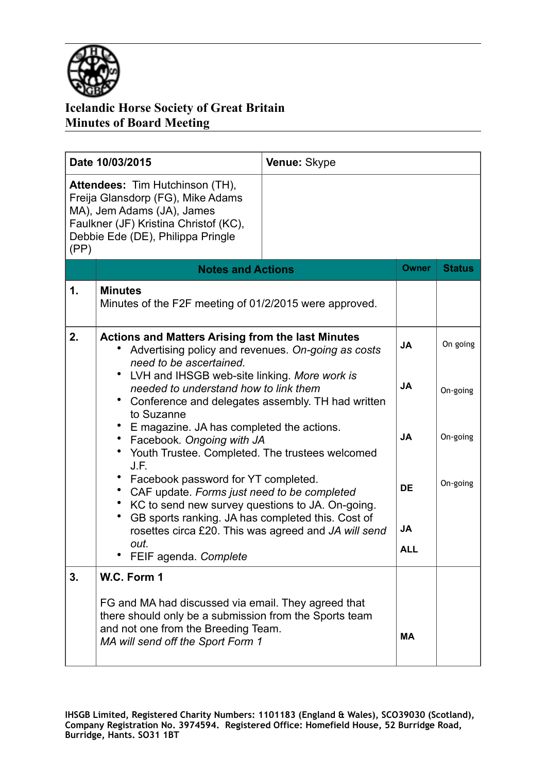

| Date 10/03/2015                                                                                                                                                                          |                                                                                                                                                                                                                                                                                                                                                                                                                                                                                                                                                                                                        | Venue: Skype |              |               |
|------------------------------------------------------------------------------------------------------------------------------------------------------------------------------------------|--------------------------------------------------------------------------------------------------------------------------------------------------------------------------------------------------------------------------------------------------------------------------------------------------------------------------------------------------------------------------------------------------------------------------------------------------------------------------------------------------------------------------------------------------------------------------------------------------------|--------------|--------------|---------------|
| Attendees: Tim Hutchinson (TH),<br>Freija Glansdorp (FG), Mike Adams<br>MA), Jem Adams (JA), James<br>Faulkner (JF) Kristina Christof (KC),<br>Debbie Ede (DE), Philippa Pringle<br>(PP) |                                                                                                                                                                                                                                                                                                                                                                                                                                                                                                                                                                                                        |              |              |               |
|                                                                                                                                                                                          | <b>Notes and Actions</b>                                                                                                                                                                                                                                                                                                                                                                                                                                                                                                                                                                               |              | <b>Owner</b> | <b>Status</b> |
| 1.                                                                                                                                                                                       | <b>Minutes</b><br>Minutes of the F2F meeting of 01/2/2015 were approved.                                                                                                                                                                                                                                                                                                                                                                                                                                                                                                                               |              |              |               |
| 2.                                                                                                                                                                                       | <b>Actions and Matters Arising from the last Minutes</b><br>Advertising policy and revenues. On-going as costs<br>need to be ascertained.<br>LVH and IHSGB web-site linking. More work is<br>needed to understand how to link them<br>Conference and delegates assembly. TH had written<br>to Suzanne<br>E magazine. JA has completed the actions.<br>Facebook. Ongoing with JA<br>Youth Trustee. Completed. The trustees welcomed<br>J.F.<br>Facebook password for YT completed.<br>CAF update. Forms just need to be completed<br>٠<br>KC to send new survey questions to JA. On-going.<br>$\bullet$ |              | <b>JA</b>    | On going      |
|                                                                                                                                                                                          |                                                                                                                                                                                                                                                                                                                                                                                                                                                                                                                                                                                                        |              | <b>JA</b>    | On-going      |
|                                                                                                                                                                                          |                                                                                                                                                                                                                                                                                                                                                                                                                                                                                                                                                                                                        |              | <b>JA</b>    | On-going      |
|                                                                                                                                                                                          |                                                                                                                                                                                                                                                                                                                                                                                                                                                                                                                                                                                                        |              | <b>DE</b>    | On-going      |
|                                                                                                                                                                                          | GB sports ranking. JA has completed this. Cost of<br>rosettes circa £20. This was agreed and JA will send                                                                                                                                                                                                                                                                                                                                                                                                                                                                                              |              | <b>JA</b>    |               |
|                                                                                                                                                                                          | out.<br>FEIF agenda. Complete                                                                                                                                                                                                                                                                                                                                                                                                                                                                                                                                                                          |              | <b>ALL</b>   |               |
| 3.                                                                                                                                                                                       | W.C. Form 1<br>FG and MA had discussed via email. They agreed that<br>there should only be a submission from the Sports team<br>and not one from the Breeding Team.<br>MA will send off the Sport Form 1                                                                                                                                                                                                                                                                                                                                                                                               |              | <b>MA</b>    |               |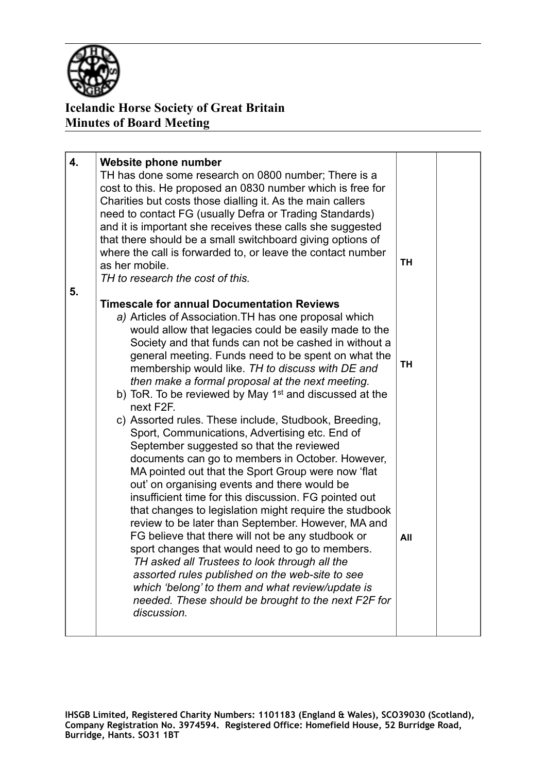

| 4.<br>5. | Website phone number<br>TH has done some research on 0800 number; There is a<br>cost to this. He proposed an 0830 number which is free for<br>Charities but costs those dialling it. As the main callers<br>need to contact FG (usually Defra or Trading Standards)<br>and it is important she receives these calls she suggested<br>that there should be a small switchboard giving options of<br>where the call is forwarded to, or leave the contact number<br>as her mobile.<br>TH to research the cost of this.                                                                                                                                                                                                                                                | TН        |  |
|----------|---------------------------------------------------------------------------------------------------------------------------------------------------------------------------------------------------------------------------------------------------------------------------------------------------------------------------------------------------------------------------------------------------------------------------------------------------------------------------------------------------------------------------------------------------------------------------------------------------------------------------------------------------------------------------------------------------------------------------------------------------------------------|-----------|--|
|          | <b>Timescale for annual Documentation Reviews</b><br>a) Articles of Association. TH has one proposal which<br>would allow that legacies could be easily made to the<br>Society and that funds can not be cashed in without a<br>general meeting. Funds need to be spent on what the<br>membership would like. TH to discuss with DE and<br>then make a formal proposal at the next meeting.<br>b) ToR. To be reviewed by May 1 <sup>st</sup> and discussed at the<br>next F <sub>2</sub> F.<br>c) Assorted rules. These include, Studbook, Breeding,                                                                                                                                                                                                                | <b>TH</b> |  |
|          | Sport, Communications, Advertising etc. End of<br>September suggested so that the reviewed<br>documents can go to members in October. However,<br>MA pointed out that the Sport Group were now 'flat<br>out' on organising events and there would be<br>insufficient time for this discussion. FG pointed out<br>that changes to legislation might require the studbook<br>review to be later than September. However, MA and<br>FG believe that there will not be any studbook or<br>sport changes that would need to go to members.<br>TH asked all Trustees to look through all the<br>assorted rules published on the web-site to see<br>which 'belong' to them and what review/update is<br>needed. These should be brought to the next F2F for<br>discussion. | All       |  |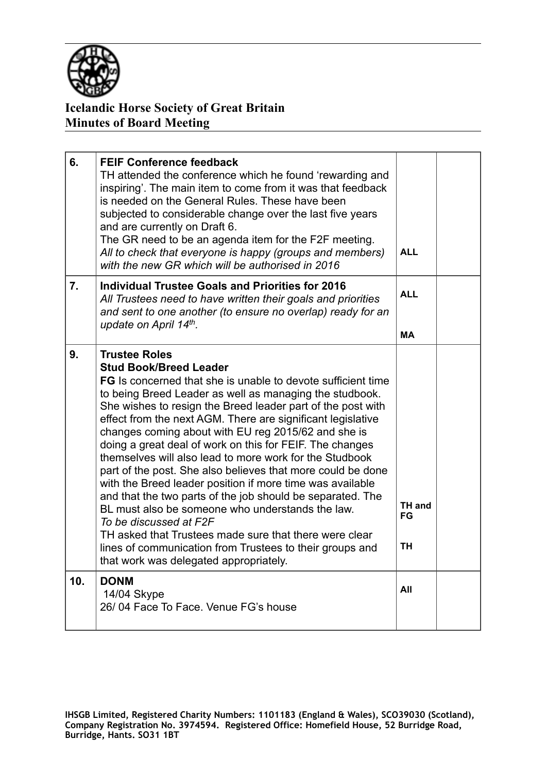

| 6.  | <b>FEIF Conference feedback</b><br>TH attended the conference which he found 'rewarding and<br>inspiring'. The main item to come from it was that feedback<br>is needed on the General Rules. These have been<br>subjected to considerable change over the last five years<br>and are currently on Draft 6.<br>The GR need to be an agenda item for the F2F meeting.<br>All to check that everyone is happy (groups and members)<br>with the new GR which will be authorised in 2016                                                                                                                                                                                                                                                                                                                                                                                                                                                        | <b>ALL</b>                |  |
|-----|---------------------------------------------------------------------------------------------------------------------------------------------------------------------------------------------------------------------------------------------------------------------------------------------------------------------------------------------------------------------------------------------------------------------------------------------------------------------------------------------------------------------------------------------------------------------------------------------------------------------------------------------------------------------------------------------------------------------------------------------------------------------------------------------------------------------------------------------------------------------------------------------------------------------------------------------|---------------------------|--|
| 7.  | Individual Trustee Goals and Priorities for 2016<br>All Trustees need to have written their goals and priorities<br>and sent to one another (to ensure no overlap) ready for an<br>update on April 14th.                                                                                                                                                                                                                                                                                                                                                                                                                                                                                                                                                                                                                                                                                                                                    | <b>ALL</b><br><b>MA</b>   |  |
| 9.  | <b>Trustee Roles</b><br><b>Stud Book/Breed Leader</b><br><b>FG</b> Is concerned that she is unable to devote sufficient time<br>to being Breed Leader as well as managing the studbook.<br>She wishes to resign the Breed leader part of the post with<br>effect from the next AGM. There are significant legislative<br>changes coming about with EU reg 2015/62 and she is<br>doing a great deal of work on this for FEIF. The changes<br>themselves will also lead to more work for the Studbook<br>part of the post. She also believes that more could be done<br>with the Breed leader position if more time was available<br>and that the two parts of the job should be separated. The<br>BL must also be someone who understands the law.<br>To be discussed at F2F<br>TH asked that Trustees made sure that there were clear<br>lines of communication from Trustees to their groups and<br>that work was delegated appropriately. | TH and<br>FG<br><b>TH</b> |  |
| 10. | <b>DONM</b><br>14/04 Skype<br>26/04 Face To Face, Venue FG's house                                                                                                                                                                                                                                                                                                                                                                                                                                                                                                                                                                                                                                                                                                                                                                                                                                                                          | All                       |  |